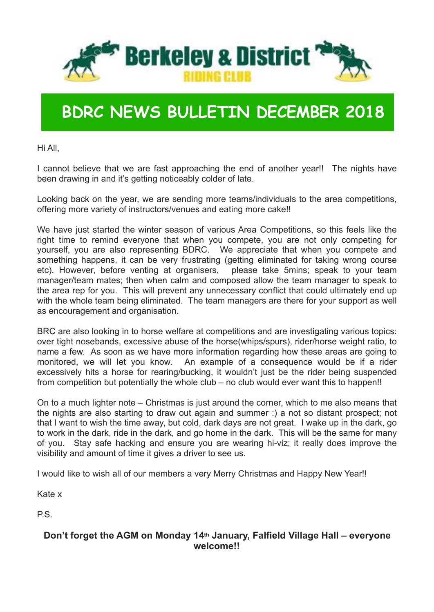

## **BDRC NEWS BULLETIN DECEMBER 2018**

Hi All,

I cannot believe that we are fast approaching the end of another year!! The nights have been drawing in and it's getting noticeably colder of late.

Looking back on the year, we are sending more teams/individuals to the area competitions, offering more variety of instructors/venues and eating more cake!!

We have just started the winter season of various Area Competitions, so this feels like the right time to remind everyone that when you compete, you are not only competing for yourself, you are also representing BDRC. We appreciate that when you compete and something happens, it can be very frustrating (getting eliminated for taking wrong course etc). However, before venting at organisers, please take 5mins; speak to your team manager/team mates; then when calm and composed allow the team manager to speak to the area rep for you. This will prevent any unnecessary conflict that could ultimately end up with the whole team being eliminated. The team managers are there for your support as well as encouragement and organisation.

BRC are also looking in to horse welfare at competitions and are investigating various topics: over tight nosebands, excessive abuse of the horse(whips/spurs), rider/horse weight ratio, to name a few. As soon as we have more information regarding how these areas are going to monitored, we will let you know. An example of a consequence would be if a rider excessively hits a horse for rearing/bucking, it wouldn't just be the rider being suspended from competition but potentially the whole club – no club would ever want this to happen!!

On to a much lighter note – Christmas is just around the corner, which to me also means that the nights are also starting to draw out again and summer :) a not so distant prospect; not that I want to wish the time away, but cold, dark days are not great. I wake up in the dark, go to work in the dark, ride in the dark, and go home in the dark. This will be the same for many of you. Stay safe hacking and ensure you are wearing hi-viz; it really does improve the visibility and amount of time it gives a driver to see us.

I would like to wish all of our members a very Merry Christmas and Happy New Year!!

Kate x

P.S.

#### **Don't forget the AGM on Monday 14th January, Falfield Village Hall – everyone welcome!!**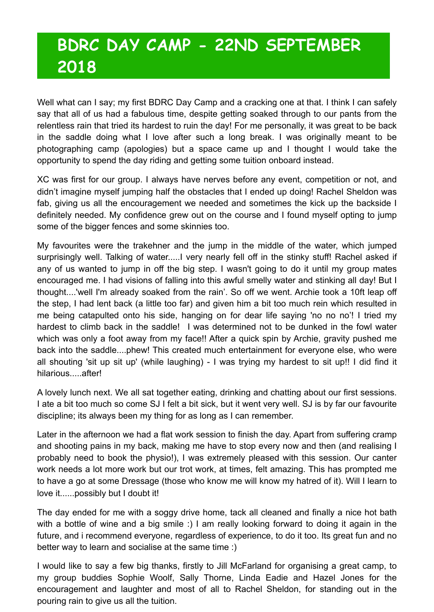## **BDRC DAY CAMP - 22ND SEPTEMBER 2018**

Well what can I say; my first BDRC Day Camp and a cracking one at that. I think I can safely say that all of us had a fabulous time, despite getting soaked through to our pants from the relentless rain that tried its hardest to ruin the day! For me personally, it was great to be back in the saddle doing what I love after such a long break. I was originally meant to be photographing camp (apologies) but a space came up and I thought I would take the opportunity to spend the day riding and getting some tuition onboard instead.

XC was first for our group. I always have nerves before any event, competition or not, and didn't imagine myself jumping half the obstacles that I ended up doing! Rachel Sheldon was fab, giving us all the encouragement we needed and sometimes the kick up the backside I definitely needed. My confidence grew out on the course and I found myself opting to jump some of the bigger fences and some skinnies too.

My favourites were the trakehner and the jump in the middle of the water, which jumped surprisingly well. Talking of water..... I very nearly fell off in the stinky stuff! Rachel asked if any of us wanted to jump in off the big step. I wasn't going to do it until my group mates encouraged me. I had visions of falling into this awful smelly water and stinking all day! But I thought....'well I'm already soaked from the rain'. So off we went. Archie took a 10ft leap off the step, I had lent back (a little too far) and given him a bit too much rein which resulted in me being catapulted onto his side, hanging on for dear life saying 'no no no'! I tried my hardest to climb back in the saddle! I was determined not to be dunked in the fowl water which was only a foot away from my face!! After a quick spin by Archie, gravity pushed me back into the saddle....phew! This created much entertainment for everyone else, who were all shouting 'sit up sit up' (while laughing) - I was trying my hardest to sit up!! I did find it hilarious after!

A lovely lunch next. We all sat together eating, drinking and chatting about our first sessions. I ate a bit too much so come SJ I felt a bit sick, but it went very well. SJ is by far our favourite discipline; its always been my thing for as long as I can remember.

Later in the afternoon we had a flat work session to finish the day. Apart from suffering cramp and shooting pains in my back, making me have to stop every now and then (and realising I probably need to book the physio!), I was extremely pleased with this session. Our canter work needs a lot more work but our trot work, at times, felt amazing. This has prompted me to have a go at some Dressage (those who know me will know my hatred of it). Will I learn to love it......possibly but I doubt it!

The day ended for me with a soggy drive home, tack all cleaned and finally a nice hot bath with a bottle of wine and a big smile :) I am really looking forward to doing it again in the future, and i recommend everyone, regardless of experience, to do it too. Its great fun and no better way to learn and socialise at the same time :)

I would like to say a few big thanks, firstly to Jill McFarland for organising a great camp, to my group buddies Sophie Woolf, Sally Thorne, Linda Eadie and Hazel Jones for the encouragement and laughter and most of all to Rachel Sheldon, for standing out in the pouring rain to give us all the tuition.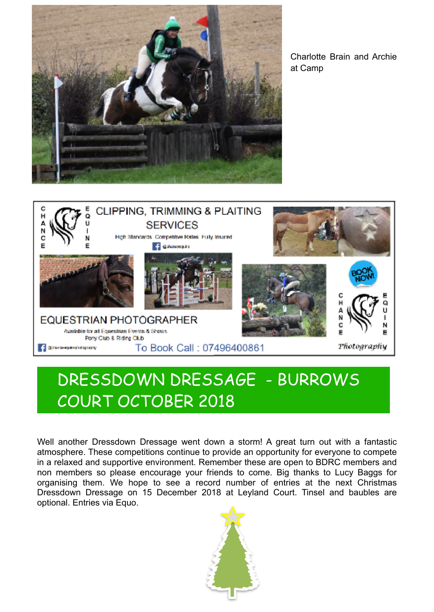

Charlotte Brain and Archie at Camp



### DRESSDOWN DRESSAGE - BURROWS COURT OCTOBER 2018

Well another Dressdown Dressage went down a storm! A great turn out with a fantastic atmosphere. These competitions continue to provide an opportunity for everyone to compete in a relaxed and supportive environment. Remember these are open to BDRC members and non members so please encourage your friends to come. Big thanks to Lucy Baggs for organising them. We hope to see a record number of entries at the next Christmas Dressdown Dressage on 15 December 2018 at Leyland Court. Tinsel and baubles are optional. Entries via Equo.

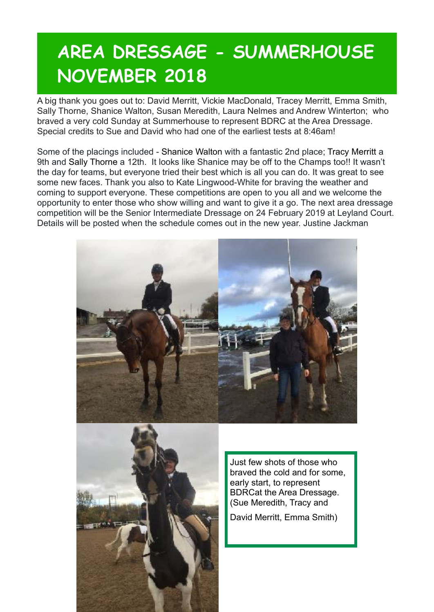## **AREA DRESSAGE - SUMMERHOUSE NOVEMBER 2018**

A big thank you goes out to: David Merritt, Vickie MacDonald, Tracey Merritt, Emma Smith, Sally Thorne, Shanice Walton, Susan Meredith, Laura Nelmes and Andrew Winterton; who braved a very cold Sunday at Summerhouse to represent BDRC at the Area Dressage. Special credits to Sue and David who had one of the earliest tests at 8:46am!

Some of the placings included - [Shanice Walton](https://www.facebook.com/shanice.walton.98?fref=gs&__tn__=%2CdK-R-R&eid=ARAMCKGVWa1VFJWo-IzAtXZ4AS9TWlf4VAmZoh9D2Y_-wBwTqrzUu3XEnsPo34gm3KH-bBZcbmQGuh4m&dti=435471163189378&hc_location=group) with a fantastic 2nd place; [Tracy Merritt](https://www.facebook.com/tracy.allison.5832?fref=gs&__tn__=%2CdK-R-R&eid=ARDlYaNk9RdsSmgikCwzX4Whj8A0zrz08efxpAM6TA3kHQo72On0Q608KA-IYooCx8lWaDi-grVnaU4b&dti=435471163189378&hc_location=group) a 9th and [Sally Thorne](https://www.facebook.com/sally.thorne.56?fref=gs&__tn__=%2CdK-R-R&eid=ARCtLKjwRXmVwkr4y1rnJjlkQ1yghWuwV3BJ0sEk6zfYf9idVXQxh1X03TkA0IIU6K3oEFgM22XGSgwb&dti=435471163189378&hc_location=group) a 12th. It looks like Shanice may be off to the Champs too!! It wasn't the day for teams, but everyone tried their best which is all you can do. It was great to see some new faces. Thank you also to Kate Lingwood-White for braving the weather and coming to support everyone. These competitions are open to you all and we welcome the opportunity to enter those who show willing and want to give it a go. The next area dressage competition will be the Senior Intermediate Dressage on 24 February 2019 at Leyland Court. Details will be posted when the schedule comes out in the new year. Justine Jackman





Just few shots of those who braved the cold and for some, early start, to represent BDRCat the Area Dressage. (Sue Meredith, Tracy and

David Merritt, Emma Smith)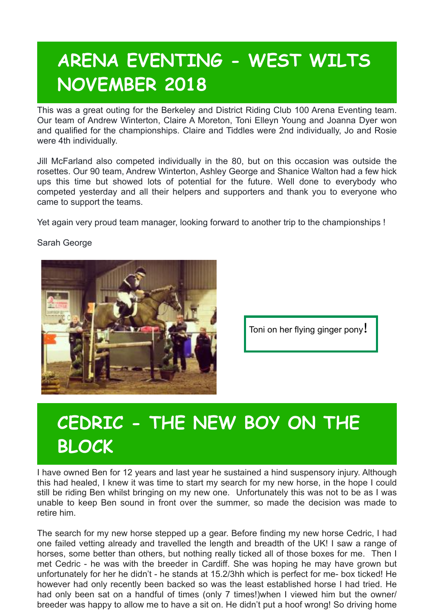## **ARENA EVENTING - WEST WILTS NOVEMBER 2018**

This was a great outing for the Berkeley and District Riding Club 100 Arena Eventing team. Our team of Andrew Winterton, Claire A Moreton, Toni Elleyn Young and Joanna Dyer won and qualified for the championships. Claire and Tiddles were 2nd individually, Jo and Rosie were 4th individually.

Jill McFarland also competed individually in the 80, but on this occasion was outside the rosettes. Our 90 team, Andrew Winterton, Ashley George and Shanice Walton had a few hick ups this time but showed lots of potential for the future. Well done to everybody who competed yesterday and all their helpers and supporters and thank you to everyone who came to support the teams.

Yet again very proud team manager, looking forward to another trip to the championships !



Sarah George

Toni on her flying ginger pony!

## **CEDRIC - THE NEW BOY ON THE BLOCK**

I have owned Ben for 12 years and last year he sustained a hind suspensory injury. Although this had healed, I knew it was time to start my search for my new horse, in the hope I could still be riding Ben whilst bringing on my new one. Unfortunately this was not to be as I was unable to keep Ben sound in front over the summer, so made the decision was made to retire him.

The search for my new horse stepped up a gear. Before finding my new horse Cedric, I had one failed vetting already and travelled the length and breadth of the UK! I saw a range of horses, some better than others, but nothing really ticked all of those boxes for me. Then I met Cedric - he was with the breeder in Cardiff. She was hoping he may have grown but unfortunately for her he didn't - he stands at 15.2/3hh which is perfect for me- box ticked! He however had only recently been backed so was the least established horse I had tried. He had only been sat on a handful of times (only 7 times!)when I viewed him but the owner/ breeder was happy to allow me to have a sit on. He didn't put a hoof wrong! So driving home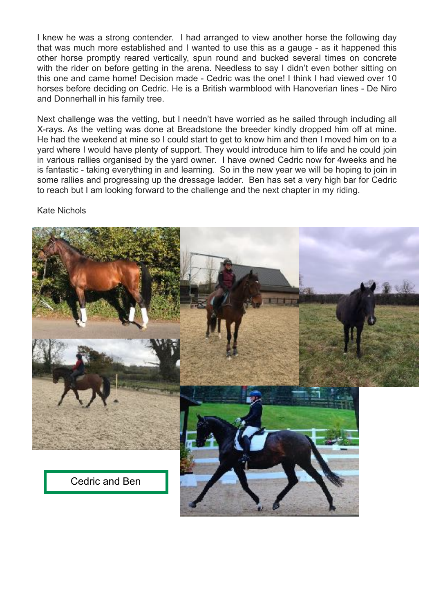I knew he was a strong contender. I had arranged to view another horse the following day that was much more established and I wanted to use this as a gauge - as it happened this other horse promptly reared vertically, spun round and bucked several times on concrete with the rider on before getting in the arena. Needless to say I didn't even bother sitting on this one and came home! Decision made - Cedric was the one! I think I had viewed over 10 horses before deciding on Cedric. He is a British warmblood with Hanoverian lines - De Niro and Donnerhall in his family tree.

Next challenge was the vetting, but I needn't have worried as he sailed through including all X-rays. As the vetting was done at Breadstone the breeder kindly dropped him off at mine. He had the weekend at mine so I could start to get to know him and then I moved him on to a yard where I would have plenty of support. They would introduce him to life and he could join in various rallies organised by the yard owner. I have owned Cedric now for 4weeks and he is fantastic - taking everything in and learning. So in the new year we will be hoping to join in some rallies and progressing up the dressage ladder. Ben has set a very high bar for Cedric to reach but I am looking forward to the challenge and the next chapter in my riding.

Kate Nichols

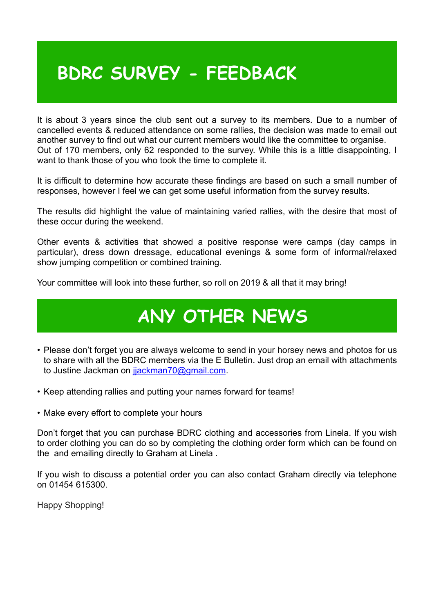### **BDRC SURVEY - FEEDBACK**

It is about 3 years since the club sent out a survey to its members. Due to a number of cancelled events & reduced attendance on some rallies, the decision was made to email out another survey to find out what our current members would like the committee to organise. Out of 170 members, only 62 responded to the survey. While this is a little disappointing, I want to thank those of you who took the time to complete it.

It is difficult to determine how accurate these findings are based on such a small number of responses, however I feel we can get some useful information from the survey results.

The results did highlight the value of maintaining varied rallies, with the desire that most of these occur during the weekend.

Other events & activities that showed a positive response were camps (day camps in particular), dress down dressage, educational evenings & some form of informal/relaxed show jumping competition or combined training.

Your committee will look into these further, so roll on 2019 & all that it may bring!

# **ANY OTHER NEWS**

- Please don't forget you are always welcome to send in your horsey news and photos for us to share with all the BDRC members via the E Bulletin. Just drop an email with attachments to Justine Jackman on jackman70@gmail.com.
- Keep attending rallies and putting your names forward for teams!
- Make every effort to complete your hours

Don't forget that you can purchase BDRC clothing and accessories from Linela. If you wish to order clothing you can do so by completing the clothing order form which can be found on the and emailing directly to Graham at Linela .

If you wish to discuss a potential order you can also contact Graham directly via telephone on 01454 615300.

Happy Shopping!